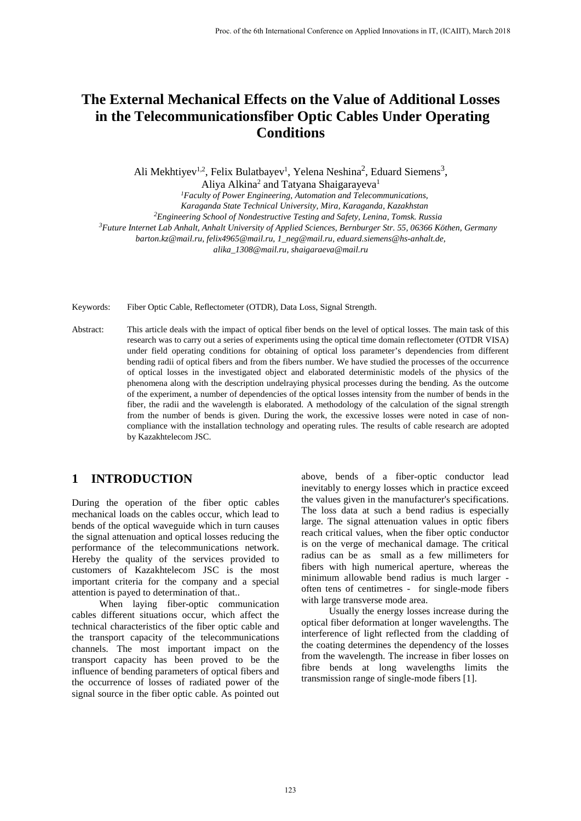# **The External Mechanical Effects on the Value of Additional Losses in the Telecommunicationsfiber Optic Cables Under Operating Conditions**

Ali Mekhtiyev<sup>1,2</sup>, Felix Bulatbayev<sup>1</sup>, Yelena Neshina<sup>2</sup>, Eduard Siemens<sup>3</sup>,

Aliya Alkina<sup>2</sup> and Tatyana Shaigarayeva<sup>1</sup>

*1Faculty of Power Engineering, Automation and Telecommunications,* 

*2 Engineering School of Nondestructive Testing and Safety, Lenina, Tomsk. Russia*

*3 Future Internet Lab Anhalt, Anhalt University of Applied Sciences, Bernburger Str. 55, 06366 Köthen, Germany*

*barton.kz@mail.ru, [felix4965@mail.ru,](mailto:felix4965@mail.ru) [1\\_neg@mail.ru,](mailto:1_neg@mail.ru) [eduard.siemens@hs-anhalt.de,](mailto:eduard.siemens@hs-anhalt.de)* 

*[alika\\_1308@mail.ru,](mailto:alika_1308@mail.ru) [shaigaraeva@mail.ru](mailto:shaigaraeva@mail.ru)*

Keywords: Fiber Optic Cable, Reflectometer (OTDR), Data Loss, Signal Strength.

Abstract: This article deals with the impact of optical fiber bends on the level of optical losses. The main task of this research was to carry out a series of experiments using the optical time domain reflectometer (OTDR VISA) under field operating conditions for obtaining of optical loss parameter's dependencies from different bending radii of optical fibers and from the fibers number. We have studied the processes of the occurrence of optical losses in the investigated object and elaborated deterministic models of the physics of the phenomena along with the description undelraying physical processes during the bending. As the outcome of the experiment, a number of dependencies of the optical losses intensity from the number of bends in the fiber, the radii and the wavelength is elaborated. A methodology of the calculation of the signal strength from the number of bends is given. During the work, the excessive losses were noted in case of noncompliance with the installation technology and operating rules. The results of cable research are adopted by Kazakhtelecom JSC.

### **1 INTRODUCTION**

During the operation of the fiber optic cables mechanical loads on the cables occur, which lead to bends of the optical waveguide which in turn causes the signal attenuation and optical losses reducing the performance of the telecommunications network. Hereby the quality of the services provided to customers of Kazakhtelecom JSC is the most important criteria for the company and a special attention is payed to determination of that..

When laying fiber-optic communication cables different situations occur, which affect the technical characteristics of the fiber optic cable and the transport capacity of the telecommunications channels. The most important impact on the transport capacity has been proved to be the influence of bending parameters of optical fibers and the occurrence of losses of radiated power of the signal source in the fiber optic cable. As pointed out

above, bends of a fiber-optic conductor lead inevitably to energy losses which in practice exceed the values given in the manufacturer's specifications. The loss data at such a bend radius is especially large. The signal attenuation values in optic fibers reach critical values, when the fiber optic conductor is on the verge of mechanical damage. The critical radius can be as small as a few millimeters for fibers with high numerical aperture, whereas the minimum allowable bend radius is much larger often tens of centimetres - for single-mode fibers with large transverse mode area.

Usually the energy losses increase during the optical fiber deformation at longer wavelengths. The interference of light reflected from the cladding of the coating determines the dependency of the losses from the wavelength. The increase in fiber losses on fibre bends at long wavelengths limits the transmission range of single-mode fibers [1].

*Karaganda State Technical University, Mira, Karaganda, Kazakhstan*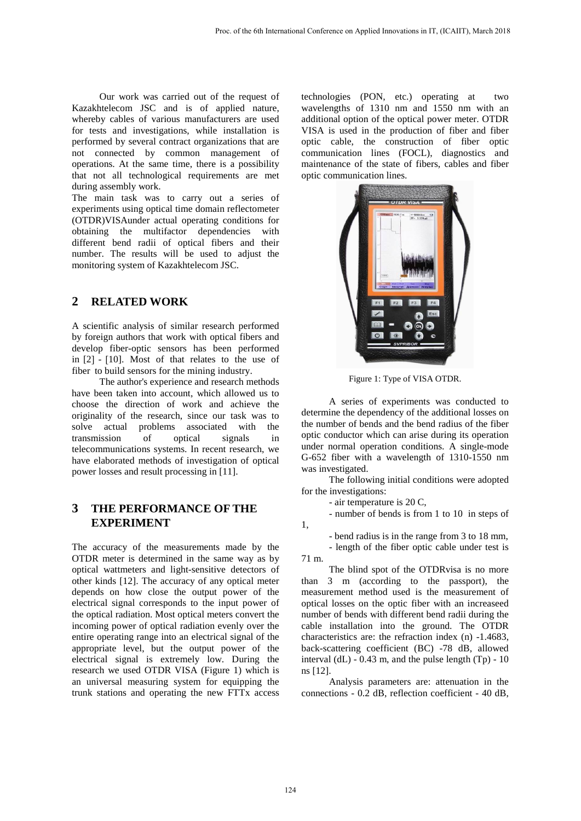Our work was carried out of the request of Kazakhtelecom JSC and is of applied nature, whereby cables of various manufacturers are used for tests and investigations, while installation is performed by several contract organizations that are not connected by common management of operations. At the same time, there is a possibility that not all technological requirements are met during assembly work.

The main task was to carry out a series of experiments using optical time domain reflectometer (OTDR)VISAunder actual operating conditions for obtaining the multifactor dependencies with different bend radii of optical fibers and their number. The results will be used to adjust the monitoring system of Kazakhtelecom JSC.

## **2 RELATED WORK**

A scientific analysis of similar research performed by foreign authors that work with optical fibers and develop fiber-optic sensors has been performed in [2] - [10]. Most of that relates to the use of fiber to build sensors for the mining industry.

The author's experience and research methods have been taken into account, which allowed us to choose the direction of work and achieve the originality of the research, since our task was to solve actual problems associated with the transmission of optical signals in telecommunications systems. In recent research, we have elaborated methods of investigation of optical power losses and result processing in [11].

# **3 THE PERFORMANCE OF THE EXPERIMENT**

The accuracy of the measurements made by the OTDR meter is determined in the same way as by optical wattmeters and light-sensitive detectors of other kinds [12]. The accuracy of any optical meter depends on how close the output power of the electrical signal corresponds to the input power of the optical radiation. Most optical meters convert the incoming power of optical radiation evenly over the entire operating range into an electrical signal of the appropriate level, but the output power of the electrical signal is extremely low. During the research we used OTDR VISA (Figure 1) which is an universal measuring system for equipping the trunk stations and operating the new FTTx access

technologies (PON, etc.) operating at two wavelengths of 1310 nm and 1550 nm with an additional option of the optical power meter. OTDR VISA is used in the production of fiber and fiber optic cable, the construction of fiber optic communication lines (FOCL), diagnostics and maintenance of the state of fibers, cables and fiber optic communication lines.



Figure 1: Type of VISA OTDR.

A series of experiments was conducted to determine the dependency of the additional losses on the number of bends and the bend radius of the fiber optic conductor which can arise during its operation under normal operation conditions. A single-mode G-652 fiber with a wavelength of 1310-1550 nm was investigated.

The following initial conditions were adopted for the investigations:

- air temperature is 20 C,

- number of bends is from 1 to 10 in steps of

- bend radius is in the range from 3 to 18 mm,

- length of the fiber optic cable under test is 71 m.

The blind spot of the OTDRvisa is no more than 3 m (according to the passport), the measurement method used is the measurement of optical losses on the optic fiber with an increaseed number of bends with different bend radii during the cable installation into the ground. The OTDR characteristics are: the refraction index (n) -1.4683, back-scattering coefficient (BC) -78 dB, allowed interval  $(dL)$  - 0.43 m, and the pulse length  $(Tp)$  - 10 ns [12].

Analysis parameters are: attenuation in the connections - 0.2 dB, reflection coefficient - 40 dB,

1,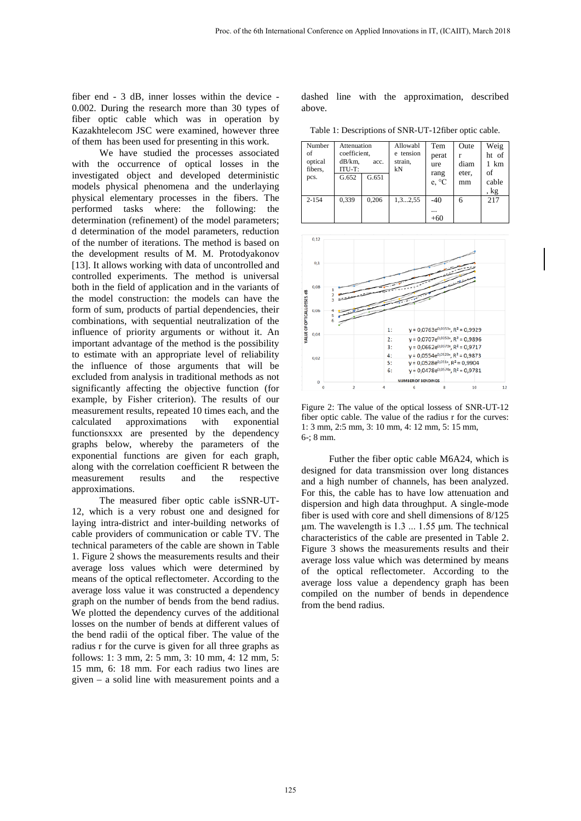fiber end - 3 dB, inner losses within the device - 0.002. During the research more than 30 types of fiber optic cable which was in operation by Kazakhtelecom JSC were examined, however three of them has been used for presenting in this work.

We have studied the processes associated with the occurrence of optical losses in the investigated object and developed deterministic models physical phenomena and the underlaying physical elementary processes in the fibers. The performed tasks where: the following: the determination (refinement) of the model parameters; d determination of the model parameters, reduction of the number of iterations. The method is based on the development results of M. M. Protodyakonov [13]. It allows working with data of uncontrolled and controlled experiments. The method is universal both in the field of application and in the variants of the model construction: the models can have the form of sum, products of partial dependencies, their combinations, with sequential neutralization of the influence of priority arguments or without it. An important advantage of the method is the possibility to estimate with an appropriate level of reliability the influence of those arguments that will be excluded from analysis in traditional methods as not significantly affecting the objective function (for example, by Fisher criterion). The results of our measurement results, repeated 10 times each, and the calculated approximations with exponential functionsxxx are presented by the dependency graphs below, whereby the parameters of the exponential functions are given for each graph, along with the correlation coefficient R between the measurement results and the respective approximations.

The measured fiber optic cable isSNR-UT-12, which is a very robust one and designed for laying intra-district and inter-building networks of cable providers of communication or cable TV. The technical parameters of the cable are shown in Table 1. Figure 2 shows the measurements results and their average loss values which were determined by means of the optical reflectometer. According to the average loss value it was constructed a dependency graph on the number of bends from the bend radius. We plotted the dependency curves of the additional losses on the number of bends at different values of the bend radii of the optical fiber. The value of the radius r for the curve is given for all three graphs as follows: 1: 3 mm, 2: 5 mm, 3: 10 mm, 4: 12 mm, 5: 15 mm, 6: 18 mm. For each radius two lines are given – a solid line with measurement points and a dashed line with the approximation, described above.

Table 1: Descriptions of SNR-UT-12fiber optic cable.

| Number<br>of<br>optical<br>fibers.<br>pcs. | Attenuation<br>coefficient.<br>dB/km.<br>acc.<br>ITU-T:<br>G.652<br>G.651 |       | Allowabl<br>e tension<br>strain,<br>kN | Tem<br>perat<br>ure<br>rang<br>e, °C | Oute<br>diam<br>eter.<br>mm | Weig<br>ht of<br>1 km<br>of<br>cable<br>, kg |
|--------------------------------------------|---------------------------------------------------------------------------|-------|----------------------------------------|--------------------------------------|-----------------------------|----------------------------------------------|
| $2 - 154$                                  | 0,339                                                                     | 0,206 | 1, 32, 55                              | $-40$<br><br>$+60$                   | 6                           | 217                                          |



Figure 2: The value of the optical lossess of SNR-UT-12 fiber optic cable. The value of the radius r for the curves: 1: 3 mm, 2:5 mm, 3: 10 mm, 4: 12 mm, 5: 15 mm, 6-; 8 mm.

Futher the fiber optic cable M6A24, which is designed for data transmission over long distances and a high number of channels, has been analyzed. For this, the cable has to have low attenuation and dispersion and high data throughput. A single-mode fiber is used with core and shell dimensions of 8/125 μm. The wavelength is 1.3 ... 1.55 μm. The technical characteristics of the cable are presented in Table 2. Figure 3 shows the measurements results and their average loss value which was determined by means of the optical reflectometer. According to the average loss value a dependency graph has been compiled on the number of bends in dependence from the bend radius.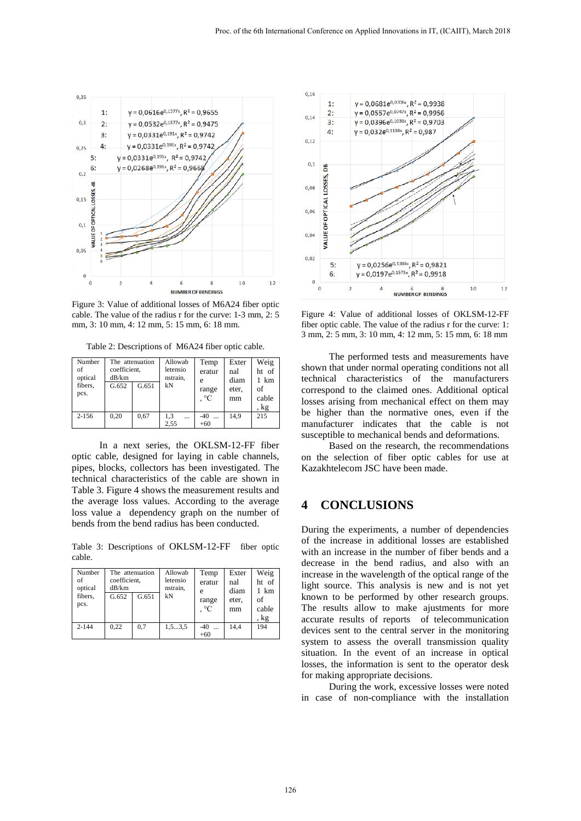

Figure 3: Value of additional losses of M6A24 fiber optic cable. The value of the radius r for the curve: 1-3 mm, 2: 5 mm, 3: 10 mm, 4: 12 mm, 5: 15 mm, 6: 18 mm.

Table 2: Descriptions of M6A24 fiber optic cable.

| Number<br>of<br>optical<br>fibers,<br>pcs. | The attenuation<br>coefficient,<br>dB/km<br>G.652 | G.651 | Allowab<br>letensio<br>nstrain,<br>kN | Temp<br>eratur<br>e<br>range<br>$^{\circ}C$ | Exter<br>nal<br>diam<br>eter.<br>mm | Weig<br>ht of<br>km<br>of<br>cable<br>, kg |
|--------------------------------------------|---------------------------------------------------|-------|---------------------------------------|---------------------------------------------|-------------------------------------|--------------------------------------------|
| $2 - 156$                                  | 0.20                                              | 0.67  | 1.3<br>$\cdots$<br>2.55               | $-40$<br>$\ddotsc$<br>$+60$                 | 14.9                                | 215                                        |

In a next series, the OKLSM-12-FF fiber optic cable, designed for laying in cable channels, pipes, blocks, collectors has been investigated. The technical characteristics of the cable are shown in Table 3. Figure 4 shows the measurement results and the average loss values. According to the average loss value a dependency graph on the number of bends from the bend radius has been conducted.

Table 3: Descriptions of OKLSM-12-FF fiber optic cable.

| Number<br>of<br>optical<br>fibers.<br>pcs. | coefficient,<br>dB/km<br>G.652 | The attenuation<br>G.651 | Allowab<br>letensio<br>nstrain,<br>kN | Temp<br>eratur<br>e<br>range<br>$\circ$ C | Exter<br>nal<br>diam<br>eter.<br>mm | Weig<br>ht of<br>1 km<br>of<br>cable<br>, kg |
|--------------------------------------------|--------------------------------|--------------------------|---------------------------------------|-------------------------------------------|-------------------------------------|----------------------------------------------|
| $2 - 144$                                  | 0.22                           | 0.7                      | 1, 53, 5                              | $-40$<br>$+60$                            | 14.4                                | 194                                          |



Figure 4: Value of additional losses of OKLSM-12-FF fiber optic cable. The value of the radius r for the curve: 1: 3 mm, 2: 5 mm, 3: 10 mm, 4: 12 mm, 5: 15 mm, 6: 18 mm

The performed tests and measurements have shown that under normal operating conditions not all technical characteristics of the manufacturers correspond to the claimed ones. Additional optical losses arising from mechanical effect on them may be higher than the normative ones, even if the manufacturer indicates that the cable is not susceptible to mechanical bends and deformations.

Based on the research, the recommendations on the selection of fiber optic cables for use at Kazakhtelecom JSC have been made.

### **4 CONCLUSIONS**

During the experiments, a number of dependencies of the increase in additional losses are established with an increase in the number of fiber bends and a decrease in the bend radius, and also with an increase in the wavelength of the optical range of the light source. This analysis is new and is not yet known to be performed by other research groups. The results allow to make ajustments for more accurate results of reports of telecommunication devices sent to the central server in the monitoring system to assess the overall transmission quality situation. In the event of an increase in optical losses, the information is sent to the operator desk for making appropriate decisions.

During the work, excessive losses were noted in case of non-compliance with the installation